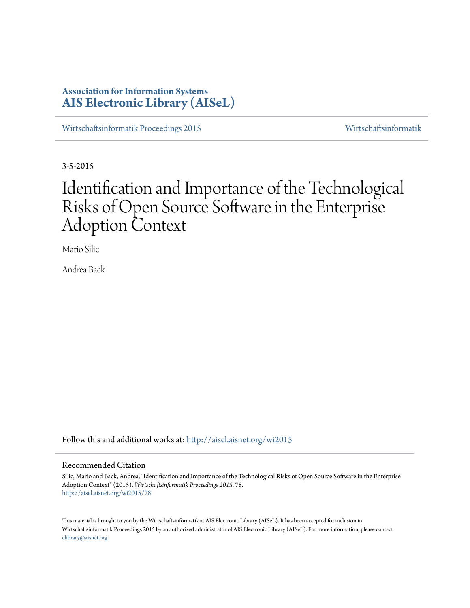# **Association for Information Systems [AIS Electronic Library \(AISeL\)](http://aisel.aisnet.org?utm_source=aisel.aisnet.org%2Fwi2015%2F78&utm_medium=PDF&utm_campaign=PDFCoverPages)**

[Wirtschaftsinformatik Proceedings 2015](http://aisel.aisnet.org/wi2015?utm_source=aisel.aisnet.org%2Fwi2015%2F78&utm_medium=PDF&utm_campaign=PDFCoverPages) [Wirtschaftsinformatik](http://aisel.aisnet.org/wi?utm_source=aisel.aisnet.org%2Fwi2015%2F78&utm_medium=PDF&utm_campaign=PDFCoverPages)

3-5-2015

# Identification and Importance of the Technological Risks of Open Source Software in the Enterprise Adoption Context

Mario Silic

Andrea Back

Follow this and additional works at: [http://aisel.aisnet.org/wi2015](http://aisel.aisnet.org/wi2015?utm_source=aisel.aisnet.org%2Fwi2015%2F78&utm_medium=PDF&utm_campaign=PDFCoverPages)

#### Recommended Citation

Silic, Mario and Back, Andrea, "Identification and Importance of the Technological Risks of Open Source Software in the Enterprise Adoption Context" (2015). *Wirtschaftsinformatik Proceedings 2015*. 78. [http://aisel.aisnet.org/wi2015/78](http://aisel.aisnet.org/wi2015/78?utm_source=aisel.aisnet.org%2Fwi2015%2F78&utm_medium=PDF&utm_campaign=PDFCoverPages)

This material is brought to you by the Wirtschaftsinformatik at AIS Electronic Library (AISeL). It has been accepted for inclusion in Wirtschaftsinformatik Proceedings 2015 by an authorized administrator of AIS Electronic Library (AISeL). For more information, please contact [elibrary@aisnet.org.](mailto:elibrary@aisnet.org%3E)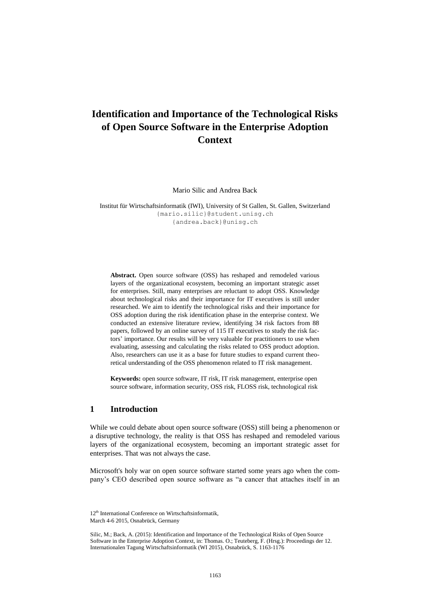# **Identification and Importance of the Technological Risks of Open Source Software in the Enterprise Adoption Context**

Mario Silic and Andrea Back

Institut für Wirtschaftsinformatik (IWI), University of St Gallen, St. Gallen, Switzerland [{mario.silic}@student.unisg.ch](mailto:%7Bmario.silic%7D@student.unisg.ch) {andrea.back}@unisg.ch

**Abstract.** Open source software (OSS) has reshaped and remodeled various layers of the organizational ecosystem, becoming an important strategic asset for enterprises. Still, many enterprises are reluctant to adopt OSS. Knowledge about technological risks and their importance for IT executives is still under researched. We aim to identify the technological risks and their importance for OSS adoption during the risk identification phase in the enterprise context. We conducted an extensive literature review, identifying 34 risk factors from 88 papers, followed by an online survey of 115 IT executives to study the risk factors' importance. Our results will be very valuable for practitioners to use when evaluating, assessing and calculating the risks related to OSS product adoption. Also, researchers can use it as a base for future studies to expand current theoretical understanding of the OSS phenomenon related to IT risk management.

**Keywords:** open source software, IT risk, IT risk management, enterprise open source software, information security, OSS risk, FLOSS risk, technological risk

# **1 Introduction**

While we could debate about open source software (OSS) still being a phenomenon or a disruptive technology, the reality is that OSS has reshaped and remodeled various layers of the organizational ecosystem, becoming an important strategic asset for enterprises. That was not always the case.

Microsoft's holy war on open source software started some years ago when the company's CEO described open source software as "a cancer that attaches itself in an

<sup>12&</sup>lt;sup>th</sup> International Conference on Wirtschaftsinformatik, March 4-6 2015, Osnabrück, Germany

Silic, M.; Back, A. (2015): Identification and Importance of the Technological Risks of Open Source Software in the Enterprise Adoption Context, in: Thomas. O.; Teuteberg, F. (Hrsg.): Proceedings der 12. Internationalen Tagung Wirtschaftsinformatik (WI 2015), Osnabrück, S. 1163-1176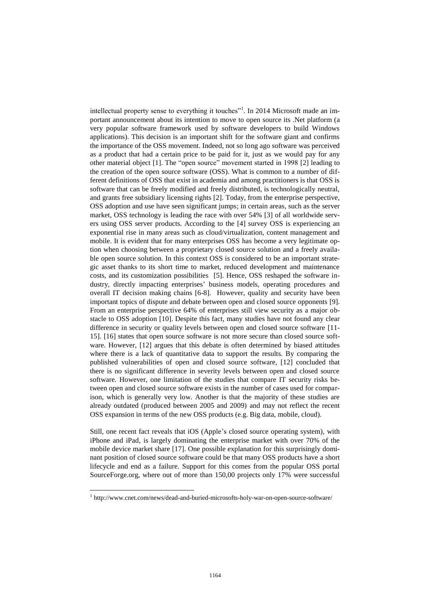intellectual property sense to everything it touches"<sup>1</sup>. In 2014 Microsoft made an important announcement about its intention to move to open source its .Net platform (a very popular software framework used by software developers to build Windows applications). This decision is an important shift for the software giant and confirms the importance of the OSS movement. Indeed, not so long ago software was perceived as a product that had a certain price to be paid for it, just as we would pay for any other material object [\[1\]](#page-12-0). The "open source" movement started in 1998 [\[2\]](#page-12-1) leading to the creation of the open source software (OSS). What is common to a number of different definitions of OSS that exist in academia and among practitioners is that OSS is software that can be freely modified and freely distributed, is technologically neutral, and grants free subsidiary licensing rights [\[2\]](#page-12-1). Today, from the enterprise perspective, OSS adoption and use have seen significant jumps; in certain areas, such as the server market, OSS technology is leading the race with over 54% [\[3\]](#page-12-2) of all worldwide servers using OSS server products. According to the [\[4\]](#page-12-3) survey OSS is experiencing an exponential rise in many areas such as cloud/virtualization, content management and mobile. It is evident that for many enterprises OSS has become a very legitimate option when choosing between a proprietary closed source solution and a freely available open source solution. In this context OSS is considered to be an important strategic asset thanks to its short time to market, reduced development and maintenance costs, and its customization possibilities [\[5\]](#page-12-4). Hence, OSS reshaped the software industry, directly impacting enterprises' business models, operating procedures and overall IT decision making chains [\[6-8\]](#page-12-5). However, quality and security have been important topics of dispute and debate between open and closed source opponents [\[9\]](#page-12-6). From an enterprise perspective 64% of enterprises still view security as a major obstacle to OSS adoption [\[10\]](#page-13-0). Despite this fact, many studies have not found any clear difference in security or quality levels between open and closed source software [\[11-](#page-13-1) [15\]](#page-13-1). [\[16\]](#page-13-2) states that open source software is not more secure than closed source software. However, [\[12\]](#page-13-3) argues that this debate is often determined by biased attitudes where there is a lack of quantitative data to support the results. By comparing the published vulnerabilities of open and closed source software, [\[12\]](#page-13-3) concluded that there is no significant difference in severity levels between open and closed source software. However, one limitation of the studies that compare IT security risks between open and closed source software exists in the number of cases used for comparison, which is generally very low. Another is that the majority of these studies are already outdated (produced between 2005 and 2009) and may not reflect the recent OSS expansion in terms of the new OSS products (e.g. Big data, mobile, cloud).

Still, one recent fact reveals that iOS (Apple's closed source operating system), with iPhone and iPad, is largely dominating the enterprise market with over 70% of the mobile device market share [\[17\]](#page-13-4). One possible explanation for this surprisingly dominant position of closed source software could be that many OSS products have a short lifecycle and end as a failure. Support for this comes from the popular OSS portal SourceForge.org, where out of more than 150,00 projects only 17% were successful

 $\overline{a}$ 

<sup>&</sup>lt;sup>1</sup> http://www.cnet.com/news/dead-and-buried-microsofts-holy-war-on-open-source-software/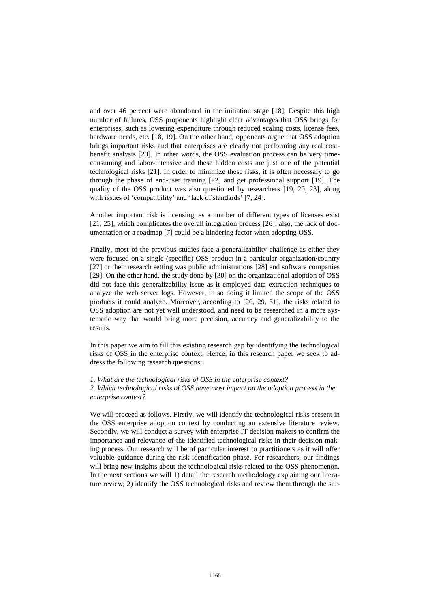and over 46 percent were abandoned in the initiation stage [\[18\]](#page-13-5). Despite this high number of failures, OSS proponents highlight clear advantages that OSS brings for enterprises, such as lowering expenditure through reduced scaling costs, license fees, hardware needs, etc. [\[18,](#page-13-5) [19\]](#page-13-6). On the other hand, opponents argue that OSS adoption brings important risks and that enterprises are clearly not performing any real costbenefit analysis [\[20\]](#page-13-7). In other words, the OSS evaluation process can be very timeconsuming and labor-intensive and these hidden costs are just one of the potential technological risks [\[21\]](#page-13-8). In order to minimize these risks, it is often necessary to go through the phase of end-user training [\[22\]](#page-13-9) and get professional support [\[19\]](#page-13-6). The quality of the OSS product was also questioned by researchers [\[19,](#page-13-6) [20,](#page-13-7) [23\]](#page-13-10), along with issues of 'compatibility' and 'lack of standards' [\[7,](#page-12-7) [24\]](#page-13-11).

Another important risk is licensing, as a number of different types of licenses exist [\[21,](#page-13-8) [25\]](#page-13-12), which complicates the overall integration process [\[26\]](#page-13-13); also, the lack of documentation or a roadmap [\[7\]](#page-12-7) could be a hindering factor when adopting OSS.

Finally, most of the previous studies face a generalizability challenge as either they were focused on a single (specific) OSS product in a particular organization/country [\[27\]](#page-13-14) or their research setting was public administrations [\[28\]](#page-13-15) and software companies [\[29\]](#page-14-0). On the other hand, the study done by [\[30\]](#page-14-1) on the organizational adoption of OSS did not face this generalizability issue as it employed data extraction techniques to analyze the web server logs. However, in so doing it limited the scope of the OSS products it could analyze. Moreover, according to [\[20,](#page-13-7) [29,](#page-14-0) [31\]](#page-14-2), the risks related to OSS adoption are not yet well understood, and need to be researched in a more systematic way that would bring more precision, accuracy and generalizability to the results.

In this paper we aim to fill this existing research gap by identifying the technological risks of OSS in the enterprise context. Hence, in this research paper we seek to address the following research questions:

*1. What are the technological risks of OSS in the enterprise context?*

*2. Which technological risks of OSS have most impact on the adoption process in the enterprise context?*

We will proceed as follows. Firstly, we will identify the technological risks present in the OSS enterprise adoption context by conducting an extensive literature review. Secondly, we will conduct a survey with enterprise IT decision makers to confirm the importance and relevance of the identified technological risks in their decision making process. Our research will be of particular interest to practitioners as it will offer valuable guidance during the risk identification phase. For researchers, our findings will bring new insights about the technological risks related to the OSS phenomenon. In the next sections we will 1) detail the research methodology explaining our literature review; 2) identify the OSS technological risks and review them through the sur-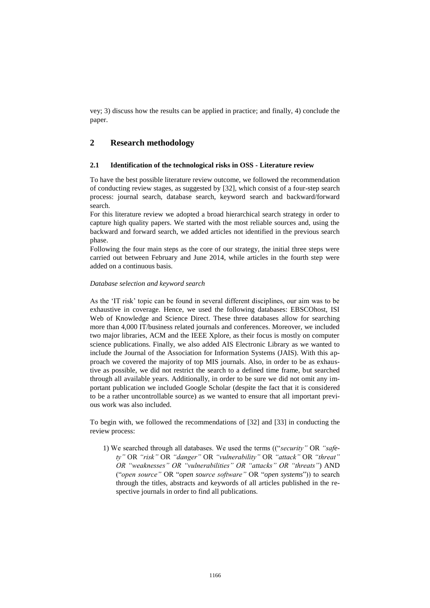vey; 3) discuss how the results can be applied in practice; and finally, 4) conclude the paper.

# **2 Research methodology**

#### **2.1 Identification of the technological risks in OSS - Literature review**

To have the best possible literature review outcome, we followed the recommendation of conducting review stages, as suggested by [\[32\]](#page-14-3), which consist of a four-step search process: journal search, database search, keyword search and backward/forward search.

For this literature review we adopted a broad hierarchical search strategy in order to capture high quality papers. We started with the most reliable sources and, using the backward and forward search, we added articles not identified in the previous search phase.

Following the four main steps as the core of our strategy, the initial three steps were carried out between February and June 2014, while articles in the fourth step were added on a continuous basis.

#### *Database selection and keyword search*

As the 'IT risk' topic can be found in several different disciplines, our aim was to be exhaustive in coverage. Hence, we used the following databases: EBSCOhost, ISI Web of Knowledge and Science Direct. These three databases allow for searching more than 4,000 IT/business related journals and conferences. Moreover, we included two major libraries, ACM and the IEEE Xplore, as their focus is mostly on computer science publications. Finally, we also added AIS Electronic Library as we wanted to include the Journal of the Association for Information Systems (JAIS). With this approach we covered the majority of top MIS journals. Also, in order to be as exhaustive as possible, we did not restrict the search to a defined time frame, but searched through all available years. Additionally, in order to be sure we did not omit any important publication we included Google Scholar (despite the fact that it is considered to be a rather uncontrollable source) as we wanted to ensure that all important previous work was also included.

To begin with, we followed the recommendations of [\[32\]](#page-14-3) and [\[33\]](#page-14-4) in conducting the review process:

1) We searched through all databases. We used the terms (("*security"* OR *"safety"* OR *"risk"* OR *"danger"* OR *"vulnerability"* OR *"attack"* OR *"threat" OR "weaknesses" OR "vulnerabilities" OR "attacks" OR "threats"*) AND ("*open source"* OR "*open source software"* OR "*open systems*")) to search through the titles, abstracts and keywords of all articles published in the respective journals in order to find all publications.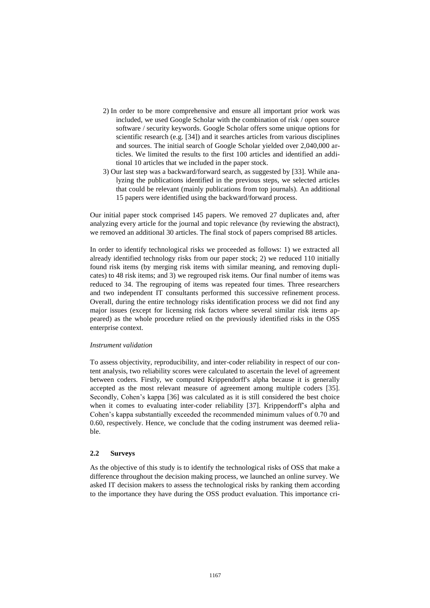- 2) In order to be more comprehensive and ensure all important prior work was included, we used Google Scholar with the combination of risk / open source software / security keywords. Google Scholar offers some unique options for scientific research (e.g. [\[34\]](#page-14-5)) and it searches articles from various disciplines and sources. The initial search of Google Scholar yielded over 2,040,000 articles. We limited the results to the first 100 articles and identified an additional 10 articles that we included in the paper stock.
- 3) Our last step was a backward/forward search, as suggested by [\[33\]](#page-14-4). While analyzing the publications identified in the previous steps, we selected articles that could be relevant (mainly publications from top journals). An additional 15 papers were identified using the backward/forward process.

Our initial paper stock comprised 145 papers. We removed 27 duplicates and, after analyzing every article for the journal and topic relevance (by reviewing the abstract), we removed an additional 30 articles. The final stock of papers comprised 88 articles.

In order to identify technological risks we proceeded as follows: 1) we extracted all already identified technology risks from our paper stock; 2) we reduced 110 initially found risk items (by merging risk items with similar meaning, and removing duplicates) to 48 risk items; and 3) we regrouped risk items. Our final number of items was reduced to 34. The regrouping of items was repeated four times. Three researchers and two independent IT consultants performed this successive refinement process. Overall, during the entire technology risks identification process we did not find any major issues (except for licensing risk factors where several similar risk items appeared) as the whole procedure relied on the previously identified risks in the OSS enterprise context.

#### *Instrument validation*

To assess objectivity, reproducibility, and inter-coder reliability in respect of our content analysis, two reliability scores were calculated to ascertain the level of agreement between coders. Firstly, we computed Krippendorff's alpha because it is generally accepted as the most relevant measure of agreement among multiple coders [\[35\]](#page-14-6). Secondly, Cohen's kappa [\[36\]](#page-14-7) was calculated as it is still considered the best choice when it comes to evaluating inter-coder reliability [\[37\]](#page-14-8). Krippendorff's alpha and Cohen's kappa substantially exceeded the recommended minimum values of 0.70 and 0.60, respectively. Hence, we conclude that the coding instrument was deemed reliable.

#### **2.2 Surveys**

As the objective of this study is to identify the technological risks of OSS that make a difference throughout the decision making process, we launched an online survey. We asked IT decision makers to assess the technological risks by ranking them according to the importance they have during the OSS product evaluation. This importance cri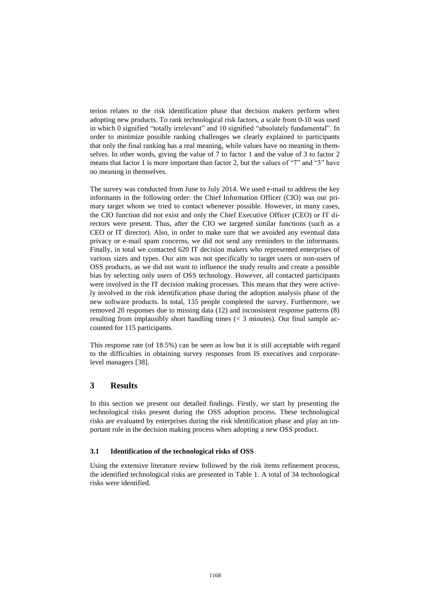terion relates to the risk identification phase that decision makers perform when adopting new products. To rank technological risk factors, a scale from 0-10 was used in which 0 signified "totally irrelevant" and 10 signified "absolutely fundamental". In order to minimize possible ranking challenges we clearly explained to participants that only the final ranking has a real meaning, while values have no meaning in themselves. In other words, giving the value of 7 to factor 1 and the value of 3 to factor 2 means that factor 1 is more important than factor 2, but the values of "7" and "3" have no meaning in themselves.

The survey was conducted from June to July 2014. We used e-mail to address the key informants in the following order: the Chief Information Officer (CIO) was our primary target whom we tried to contact whenever possible. However, in many cases, the CIO function did not exist and only the Chief Executive Officer (CEO) or IT directors were present. Thus, after the CIO we targeted similar functions (such as a CEO or IT director). Also, in order to make sure that we avoided any eventual data privacy or e-mail spam concerns, we did not send any reminders to the informants. Finally, in total we contacted 620 IT decision makers who represented enterprises of various sizes and types. Our aim was not specifically to target users or non-users of OSS products, as we did not want to influence the study results and create a possible bias by selecting only users of OSS technology. However, all contacted participants were involved in the IT decision making processes. This means that they were actively involved in the risk identification phase during the adoption analysis phase of the new software products. In total, 135 people completed the survey. Furthermore, we removed 20 responses due to missing data (12) and inconsistent response patterns (8) resulting from implausibly short handling times  $\ll$  3 minutes). Our final sample accounted for 115 participants.

This response rate (of 18.5%) can be seen as low but it is still acceptable with regard to the difficulties in obtaining survey responses from IS executives and corporatelevel managers [\[38\]](#page-14-9).

# **3 Results**

In this section we present our detailed findings. Firstly, we start by presenting the technological risks present during the OSS adoption process. These technological risks are evaluated by enterprises during the risk identification phase and play an important role in the decision making process when adopting a new OSS product.

#### **3.1 Identification of the technological risks of OSS**

Using the extensive literature review followed by the risk items refinement process, the identified technological risks are presented in Table 1. A total of 34 technological risks were identified.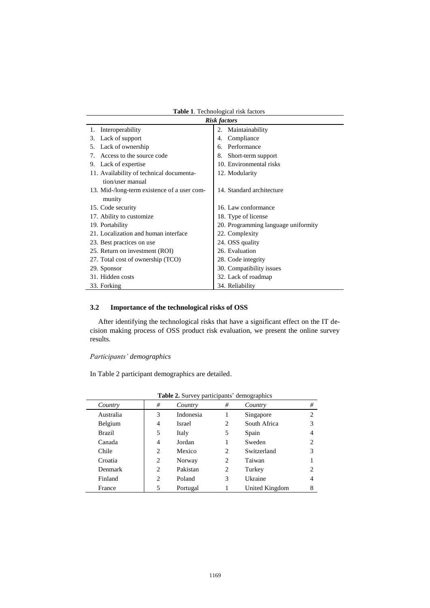|                                             | <b>Risk factors</b>                 |
|---------------------------------------------|-------------------------------------|
| Interoperability<br>1.                      | 2. Maintainability                  |
| Lack of support<br>3.                       | Compliance<br>4.                    |
| Lack of ownership<br>5.                     | Performance<br>6.                   |
| Access to the source code<br>7.             | Short-term support<br>8.            |
| Lack of expertise<br>9.                     | 10. Environmental risks             |
| 11. Availability of technical documenta-    | 12. Modularity                      |
| tion/user manual                            |                                     |
| 13. Mid-/long-term existence of a user com- | 14. Standard architecture           |
| munity                                      |                                     |
| 15. Code security                           | 16. Law conformance                 |
| 17. Ability to customize                    | 18. Type of license                 |
| 19. Portability                             | 20. Programming language uniformity |
| 21. Localization and human interface        | 22. Complexity                      |
| 23. Best practices on use                   | 24. OSS quality                     |
| 25. Return on investment (ROI)              | 26. Evaluation                      |
| 27. Total cost of ownership (TCO)           | 28. Code integrity                  |
| 29. Sponsor                                 | 30. Compatibility issues            |
| 31. Hidden costs                            | 32. Lack of roadmap                 |
| 33. Forking                                 | 34. Reliability                     |

**Table 1***.* Technological risk factors

# **3.2 Importance of the technological risks of OSS**

After identifying the technological risks that have a significant effect on the IT decision making process of OSS product risk evaluation, we present the online survey results.

*Participants' demographics*

In Table 2 participant demographics are detailed.

|           | <b>Table 2.</b> Survey participants' demographics |               |   |                |                |
|-----------|---------------------------------------------------|---------------|---|----------------|----------------|
| Country   | #                                                 | Country       | # | Country        | #              |
| Australia | 3                                                 | Indonesia     |   | Singapore      | $\overline{c}$ |
| Belgium   | 4                                                 | <b>Israel</b> | 2 | South Africa   |                |
| Brazil    | 5                                                 | Italy         | 5 | Spain          | 4              |
| Canada    | 4                                                 | Jordan        |   | Sweden         |                |
| Chile     | 2                                                 | Mexico        | 2 | Switzerland    |                |
| Croatia   | 2                                                 | Norway        | 2 | Taiwan         |                |
| Denmark   | 2                                                 | Pakistan      | 2 | Turkey         |                |
| Finland   | 2                                                 | Poland        | 3 | Ukraine        | 4              |
| France    | 5                                                 | Portugal      |   | United Kingdom | 8              |

|  |  | Table 2. Survey participants' demographics |
|--|--|--------------------------------------------|
|  |  |                                            |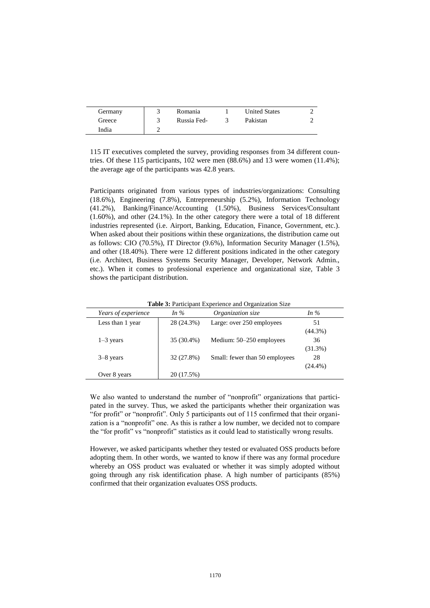| Germany | Romania     | <b>United States</b> |  |
|---------|-------------|----------------------|--|
| Greece  | Russia Fed- | Pakistan             |  |
| India   |             |                      |  |

115 IT executives completed the survey, providing responses from 34 different countries. Of these 115 participants, 102 were men (88.6%) and 13 were women (11.4%); the average age of the participants was 42.8 years.

Participants originated from various types of industries/organizations: Consulting (18.6%), Engineering (7.8%), Entrepreneurship (5.2%), Information Technology (41.2%), Banking/Finance/Accounting (1.50%), Business Services/Consultant (1.60%), and other (24.1%). In the other category there were a total of 18 different industries represented (i.e. Airport, Banking, Education, Finance, Government, etc.). When asked about their positions within these organizations, the distribution came out as follows: CIO (70.5%), IT Director (9.6%), Information Security Manager (1.5%), and other (18.40%). There were 12 different positions indicated in the other category (i.e. Architect, Business Systems Security Manager, Developer, Network Admin., etc.). When it comes to professional experience and organizational size, Table 3 shows the participant distribution.

| Years of experience | In $\%$    | Organization size              | In $\%$    |
|---------------------|------------|--------------------------------|------------|
| Less than 1 year    | 28 (24.3%) | Large: over 250 employees      | 51         |
|                     |            |                                | $(44.3\%)$ |
| $1-3$ years         | 35 (30.4%) | Medium: 50–250 employees       | 36         |
|                     |            |                                | (31.3%)    |
| $3-8$ years         | 32 (27.8%) | Small: fewer than 50 employees | 28         |
|                     |            |                                | $(24.4\%)$ |
| Over 8 years        | 20 (17.5%) |                                |            |

**Table 3:** Participant Experience and Organization Size

We also wanted to understand the number of "nonprofit" organizations that participated in the survey. Thus, we asked the participants whether their organization was "for profit" or "nonprofit". Only 5 participants out of 115 confirmed that their organization is a "nonprofit" one. As this is rather a low number, we decided not to compare the "for profit" vs "nonprofit" statistics as it could lead to statistically wrong results.

However, we asked participants whether they tested or evaluated OSS products before adopting them. In other words, we wanted to know if there was any formal procedure whereby an OSS product was evaluated or whether it was simply adopted without going through any risk identification phase. A high number of participants (85%) confirmed that their organization evaluates OSS products.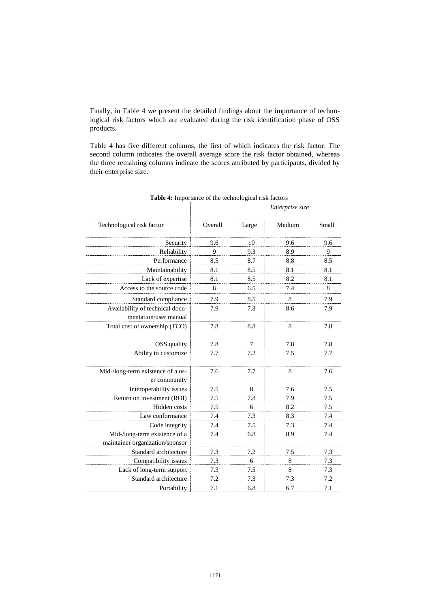Finally, in Table 4 we present the detailed findings about the importance of technological risk factors which are evaluated during the risk identification phase of OSS products.

Table 4 has five different columns, the first of which indicates the risk factor. The second column indicates the overall average score the risk factor obtained, whereas the three remaining columns indicate the scores attributed by participants, divided by their enterprise size.

|                                                                  |         | Enterprise size |        |       |  |
|------------------------------------------------------------------|---------|-----------------|--------|-------|--|
| Technological risk factor                                        | Overall | Large           | Medium | Small |  |
| Security                                                         | 9.6     | 10              | 9.6    | 9.6   |  |
| Reliability                                                      | 9       | 9.3             | 8.9    | 9     |  |
| Performance                                                      | 8.5     | 8.7             | 8.8    | 8.5   |  |
| Maintainability                                                  | 8.1     | 8.5             | 8.1    | 8.1   |  |
| Lack of expertise                                                | 8.1     | 8.5             | 8.2    | 8.1   |  |
| Access to the source code                                        | 8       | 6.5             | 7.4    | 8     |  |
| Standard compliance                                              | 7.9     | 8.5             | 8      | 7.9   |  |
| Availability of technical docu-<br>mentation/user manual         | 7.9     | 7.8             | 8.6    | 7.9   |  |
| Total cost of ownership (TCO)                                    | 7.8     | 8.8             | 8      | 7.8   |  |
| OSS quality                                                      | 7.8     | 7               | 7.8    | 7.8   |  |
| Ability to customize                                             | 7.7     | 7.2             | 7.5    | 7.7   |  |
| Mid-/long-term existence of a us-<br>er community                | 7.6     | 7.7             | 8      | 7.6   |  |
| Interoperability issues                                          | 7.5     | 8               | 7.6    | 7.5   |  |
| Return on investment (ROI)                                       | 7.5     | 7.8             | 7.9    | 7.5   |  |
| Hidden costs                                                     | 7.5     | 6               | 8.2    | 7.5   |  |
| Law conformance                                                  | 7.4     | 7.3             | 8.3    | 7.4   |  |
| Code integrity                                                   | 7.4     | 7.5             | 7.3    | 7.4   |  |
| Mid-/long-term existence of a<br>maintainer organization/sponsor | 7.4     | 6.8             | 8.9    | 7.4   |  |
| Standard architecture                                            | 7.3     | 7.2             | 7.5    | 7.3   |  |
| Compatibility issues                                             | 7.3     | 6               | 8      | 7.3   |  |
| Lack of long-term support                                        | 7.3     | 7.5             | 8      | 7.3   |  |
| Standard architecture                                            | 7.2     | 7.3             | 7.3    | 7.2   |  |
| Portability                                                      | 7.1     | 6.8             | 6.7    | 7.1   |  |

**Table 4:** Importance of the technological risk factors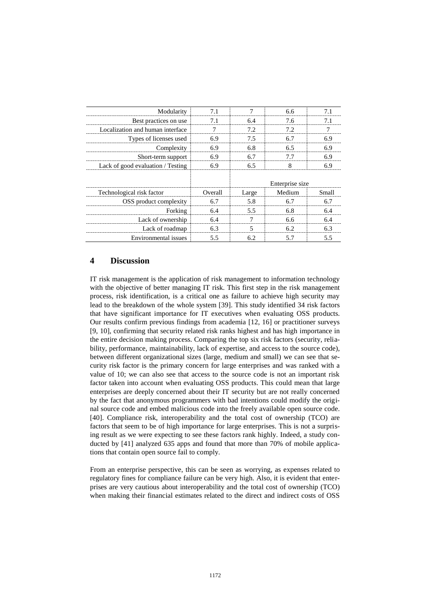| Modularity                        |         |       | 6.6             |       |
|-----------------------------------|---------|-------|-----------------|-------|
| Best practices on use             |         | 6.4   | 7.6             |       |
| Localization and human interface  |         | 7.2.  | 79              |       |
| Types of licenses used            |         | 7.5   |                 |       |
| Complexity                        | 6.9     | 6.8   | 6.5             | 6.9   |
| Short-term support                | 6.9     |       |                 | 6 ዓ   |
| Lack of good evaluation / Testing | 6.9     | 6.5   |                 | 6.9   |
|                                   |         |       | Enterprise size |       |
| Technological risk factor         | Overall | Large | Medium          | Small |
| OSS product complexity            | 6.7     | 5.8   | 6.7             |       |
| Forking                           | 6.4     | 55    | 68              | 64    |
| Lack of ownership                 | 6.4     |       | 6.6             |       |
| Lack of roadmap                   | 6.3     | 5     | 6.2             | 6.3   |
| Environmental issues              | 55      |       |                 |       |

# **4 Discussion**

IT risk management is the application of risk management to information technology with the objective of better managing IT risk. This first step in the risk management process, risk identification, is a critical one as failure to achieve high security may lead to the breakdown of the whole system [\[39\]](#page-14-10). This study identified 34 risk factors that have significant importance for IT executives when evaluating OSS products. Our results confirm previous findings from academia [\[12,](#page-13-3) [16\]](#page-13-2) or practitioner surveys [\[9,](#page-12-6) [10\]](#page-13-0), confirming that security related risk ranks highest and has high importance in the entire decision making process. Comparing the top six risk factors (security, reliability, performance, maintainability, lack of expertise, and access to the source code), between different organizational sizes (large, medium and small) we can see that security risk factor is the primary concern for large enterprises and was ranked with a value of 10; we can also see that access to the source code is not an important risk factor taken into account when evaluating OSS products. This could mean that large enterprises are deeply concerned about their IT security but are not really concerned by the fact that anonymous programmers with bad intentions could modify the original source code and embed malicious code into the freely available open source code. [\[40\]](#page-14-11). Compliance risk, interoperability and the total cost of ownership (TCO) are factors that seem to be of high importance for large enterprises. This is not a surprising result as we were expecting to see these factors rank highly. Indeed, a study conducted by [\[41\]](#page-14-12) analyzed 635 apps and found that more than 70% of mobile applications that contain open source fail to comply.

From an enterprise perspective, this can be seen as worrying, as expenses related to regulatory fines for compliance failure can be very high. Also, it is evident that enterprises are very cautious about interoperability and the total cost of ownership (TCO) when making their financial estimates related to the direct and indirect costs of OSS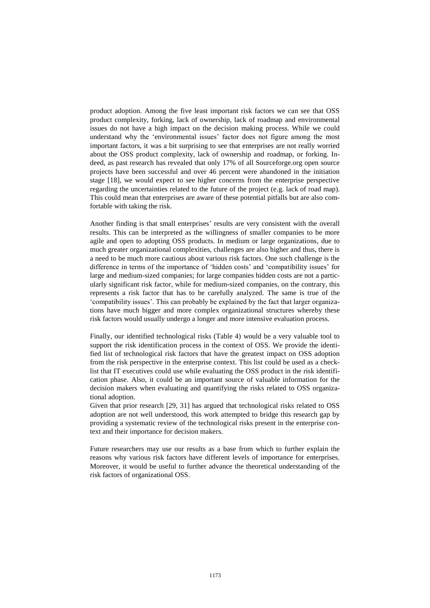product adoption. Among the five least important risk factors we can see that OSS product complexity, forking, lack of ownership, lack of roadmap and environmental issues do not have a high impact on the decision making process. While we could understand why the 'environmental issues' factor does not figure among the most important factors, it was a bit surprising to see that enterprises are not really worried about the OSS product complexity, lack of ownership and roadmap, or forking. Indeed, as past research has revealed that only 17% of all Sourceforge.org open source projects have been successful and over 46 percent were abandoned in the initiation stage [\[18\]](#page-13-5), we would expect to see higher concerns from the enterprise perspective regarding the uncertainties related to the future of the project (e.g. lack of road map). This could mean that enterprises are aware of these potential pitfalls but are also comfortable with taking the risk.

Another finding is that small enterprises' results are very consistent with the overall results. This can be interpreted as the willingness of smaller companies to be more agile and open to adopting OSS products. In medium or large organizations, due to much greater organizational complexities, challenges are also higher and thus, there is a need to be much more cautious about various risk factors. One such challenge is the difference in terms of the importance of 'hidden costs' and 'compatibility issues' for large and medium-sized companies; for large companies hidden costs are not a particularly significant risk factor, while for medium-sized companies, on the contrary, this represents a risk factor that has to be carefully analyzed. The same is true of the 'compatibility issues'. This can probably be explained by the fact that larger organizations have much bigger and more complex organizational structures whereby these risk factors would usually undergo a longer and more intensive evaluation process.

Finally, our identified technological risks (Table 4) would be a very valuable tool to support the risk identification process in the context of OSS. We provide the identified list of technological risk factors that have the greatest impact on OSS adoption from the risk perspective in the enterprise context. This list could be used as a checklist that IT executives could use while evaluating the OSS product in the risk identification phase. Also, it could be an important source of valuable information for the decision makers when evaluating and quantifying the risks related to OSS organizational adoption.

Given that prior research [\[29,](#page-14-0) [31\]](#page-14-2) has argued that technological risks related to OSS adoption are not well understood, this work attempted to bridge this research gap by providing a systematic review of the technological risks present in the enterprise context and their importance for decision makers.

Future researchers may use our results as a base from which to further explain the reasons why various risk factors have different levels of importance for enterprises. Moreover, it would be useful to further advance the theoretical understanding of the risk factors of organizational OSS.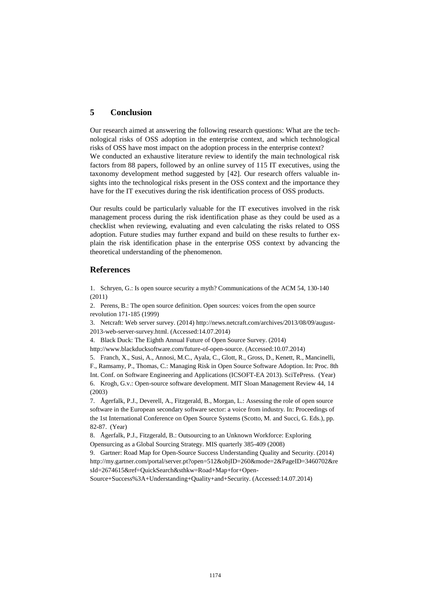## **5 Conclusion**

Our research aimed at answering the following research questions: What are the technological risks of OSS adoption in the enterprise context, and which technological risks of OSS have most impact on the adoption process in the enterprise context? We conducted an exhaustive literature review to identify the main technological risk factors from 88 papers, followed by an online survey of 115 IT executives, using the taxonomy development method suggested by [\[42\]](#page-14-13). Our research offers valuable insights into the technological risks present in the OSS context and the importance they have for the IT executives during the risk identification process of OSS products.

Our results could be particularly valuable for the IT executives involved in the risk management process during the risk identification phase as they could be used as a checklist when reviewing, evaluating and even calculating the risks related to OSS adoption. Future studies may further expand and build on these results to further explain the risk identification phase in the enterprise OSS context by advancing the theoretical understanding of the phenomenon.

### **References**

<span id="page-12-0"></span>1. Schryen, G.: Is open source security a myth? Communications of the ACM 54, 130-140 (2011)

<span id="page-12-1"></span>2. Perens, B.: The open source definition. Open sources: voices from the open source revolution 171-185 (1999)

<span id="page-12-2"></span>3. Netcraft: Web server survey. (2014[\) http://news.netcraft.com/archives/2013/08/09/august-](http://news.netcraft.com/archives/2013/08/09/august-2013-web-server-survey.html)[2013-web-server-survey.html.](http://news.netcraft.com/archives/2013/08/09/august-2013-web-server-survey.html) (Accessed:14.07.2014)

<span id="page-12-3"></span>4. Black Duck: The Eighth Annual Future of Open Source Survey. (2014)

[http://www.blackducksoftware.com/future-of-open-source.](http://www.blackducksoftware.com/future-of-open-source) (Accessed:10.07.2014)

<span id="page-12-4"></span>5. Franch, X., Susi, A., Annosi, M.C., Ayala, C., Glott, R., Gross, D., Kenett, R., Mancinelli,

<span id="page-12-5"></span>F., Ramsamy, P., Thomas, C.: Managing Risk in Open Source Software Adoption. In: Proc. 8th Int. Conf. on Software Engineering and Applications (ICSOFT-EA 2013). SciTePress. (Year) 6. Krogh, G.v.: Open-source software development. MIT Sloan Management Review 44, 14 (2003)

<span id="page-12-7"></span>7. Ågerfalk, P.J., Deverell, A., Fitzgerald, B., Morgan, L.: Assessing the role of open source software in the European secondary software sector: a voice from industry. In: Proceedings of the 1st International Conference on Open Source Systems (Scotto, M. and Succi, G. Eds.), pp. 82-87. (Year)

8. Ågerfalk, P.J., Fitzgerald, B.: Outsourcing to an Unknown Workforce: Exploring Opensurcing as a Global Sourcing Strategy. MIS quarterly 385-409 (2008)

<span id="page-12-6"></span>9. Gartner: Road Map for Open-Source Success Understanding Quality and Security. (2014) [http://my.gartner.com/portal/server.pt?open=512&objID=260&mode=2&PageID=3460702&re](http://my.gartner.com/portal/server.pt?open=512&objID=260&mode=2&PageID=3460702&resId=2674615&ref=QuickSearch&sthkw=Road+Map+for+Open-Source+Success%3A+Understanding+Quality+and+Security) [sId=2674615&ref=QuickSearch&sthkw=Road+Map+for+Open-](http://my.gartner.com/portal/server.pt?open=512&objID=260&mode=2&PageID=3460702&resId=2674615&ref=QuickSearch&sthkw=Road+Map+for+Open-Source+Success%3A+Understanding+Quality+and+Security)

[Source+Success%3A+Understanding+Quality+and+Security.](http://my.gartner.com/portal/server.pt?open=512&objID=260&mode=2&PageID=3460702&resId=2674615&ref=QuickSearch&sthkw=Road+Map+for+Open-Source+Success%3A+Understanding+Quality+and+Security) (Accessed:14.07.2014)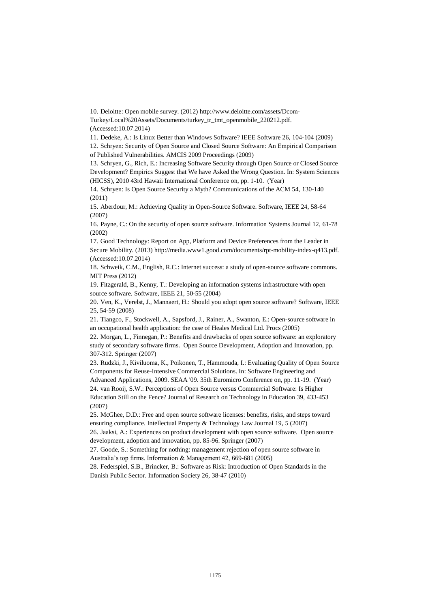<span id="page-13-0"></span>10. Deloitte: Open mobile survey. (2012[\) http://www.deloitte.com/assets/Dcom-](http://www.deloitte.com/assets/Dcom-Turkey/Local%20Assets/Documents/turkey_tr_tmt_openmobile_220212.pdf)[Turkey/Local%20Assets/Documents/turkey\\_tr\\_tmt\\_openmobile\\_220212.pdf.](http://www.deloitte.com/assets/Dcom-Turkey/Local%20Assets/Documents/turkey_tr_tmt_openmobile_220212.pdf)

(Accessed:10.07.2014)

<span id="page-13-1"></span>11. Dedeke, A.: Is Linux Better than Windows Software? IEEE Software 26, 104-104 (2009)

<span id="page-13-3"></span>12. Schryen: Security of Open Source and Closed Source Software: An Empirical Comparison of Published Vulnerabilities. AMCIS 2009 Proceedings (2009)

13. Schryen, G., Rich, E.: Increasing Software Security through Open Source or Closed Source Development? Empirics Suggest that We have Asked the Wrong Question. In: System Sciences (HICSS), 2010 43rd Hawaii International Conference on, pp. 1-10. (Year)

14. Schryen: Is Open Source Security a Myth? Communications of the ACM 54, 130-140 (2011)

15. Aberdour, M.: Achieving Quality in Open-Source Software. Software, IEEE 24, 58-64 (2007)

<span id="page-13-2"></span>16. Payne, C.: On the security of open source software. Information Systems Journal 12, 61-78 (2002)

<span id="page-13-4"></span>17. Good Technology: Report on App, Platform and Device Preferences from the Leader in Secure Mobility. (2013[\) http://media.www1.good.com/documents/rpt-mobility-index-q413.pdf.](http://media.www1.good.com/documents/rpt-mobility-index-q413.pdf) (Accessed:10.07.2014)

<span id="page-13-5"></span>18. Schweik, C.M., English, R.C.: Internet success: a study of open-source software commons. MIT Press (2012)

<span id="page-13-6"></span>19. Fitzgerald, B., Kenny, T.: Developing an information systems infrastructure with open source software. Software, IEEE 21, 50-55 (2004)

<span id="page-13-7"></span>20. Ven, K., Verelst, J., Mannaert, H.: Should you adopt open source software? Software, IEEE 25, 54-59 (2008)

<span id="page-13-8"></span>21. Tiangco, F., Stockwell, A., Sapsford, J., Rainer, A., Swanton, E.: Open-source software in an occupational health application: the case of Heales Medical Ltd. Procs (2005)

<span id="page-13-9"></span>22. Morgan, L., Finnegan, P.: Benefits and drawbacks of open source software: an exploratory study of secondary software firms. Open Source Development, Adoption and Innovation, pp. 307-312. Springer (2007)

<span id="page-13-10"></span>23. Rudzki, J., Kiviluoma, K., Poikonen, T., Hammouda, I.: Evaluating Quality of Open Source Components for Reuse-Intensive Commercial Solutions. In: Software Engineering and

<span id="page-13-11"></span>Advanced Applications, 2009. SEAA '09. 35th Euromicro Conference on, pp. 11-19. (Year) 24. van Rooij, S.W.: Perceptions of Open Source versus Commercial Software: Is Higher Education Still on the Fence? Journal of Research on Technology in Education 39, 433-453 (2007)

<span id="page-13-12"></span>25. McGhee, D.D.: Free and open source software licenses: benefits, risks, and steps toward ensuring compliance. Intellectual Property & Technology Law Journal 19, 5 (2007)

<span id="page-13-13"></span>26. Jaaksi, A.: Experiences on product development with open source software. Open source development, adoption and innovation, pp. 85-96. Springer (2007)

<span id="page-13-14"></span>27. Goode, S.: Something for nothing: management rejection of open source software in Australia's top firms. Information & Management 42, 669-681 (2005)

<span id="page-13-15"></span>28. Federspiel, S.B., Brincker, B.: Software as Risk: Introduction of Open Standards in the Danish Public Sector. Information Society 26, 38-47 (2010)